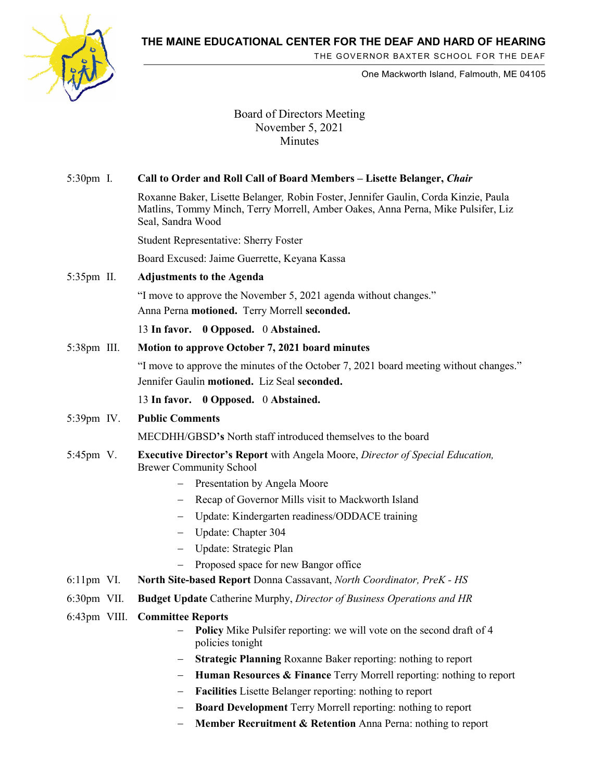**THE MAINE EDUCATIONAL CENTER FOR THE DEAF AND HARD OF HEARING**



THE GOVERNOR BAXTER SCHOOL FOR THE DEAF

One Mackworth Island, Falmouth, ME 04105

Board of Directors Meeting November 5, 2021 **Minutes** 

5:30pm I. **Call to Order and Roll Call of Board Members – Lisette Belanger,** *Chair*

Roxanne Baker, Lisette Belanger*,* Robin Foster, Jennifer Gaulin, Corda Kinzie, Paula Matlins, Tommy Minch, Terry Morrell, Amber Oakes, Anna Perna, Mike Pulsifer, Liz Seal, Sandra Wood

Student Representative: Sherry Foster

Board Excused: Jaime Guerrette, Keyana Kassa

5:35pm II. **Adjustments to the Agenda**

"I move to approve the November 5, 2021 agenda without changes." Anna Perna **motioned.** Terry Morrell **seconded.**

13 **In favor. 0 Opposed.** 0 **Abstained.** 

- 5:38pm III. **Motion to approve October 7, 2021 board minutes** "I move to approve the minutes of the October 7, 2021 board meeting without changes." Jennifer Gaulin **motioned.** Liz Seal **seconded.** 13 **In favor. 0 Opposed.** 0 **Abstained.**
- 5:39pm IV. **Public Comments**

MECDHH/GBSD**'s** North staff introduced themselves to the board

- 5:45pm V. **Executive Director's Report** with Angela Moore, *Director of Special Education,*  Brewer Community School
	- − Presentation by Angela Moore
	- − Recap of Governor Mills visit to Mackworth Island
	- Update: Kindergarten readiness/ODDACE training
	- − Update: Chapter 304
	- − Update: Strategic Plan
	- Proposed space for new Bangor office
- 6:11pm VI. **North Site-based Report** Donna Cassavant, *North Coordinator, PreK - HS*
- 6:30pm VII. **Budget Update** Catherine Murphy, *Director of Business Operations and HR*
- 6:43pm VIII. **Committee Reports** 
	- − **Policy** Mike Pulsifer reporting: we will vote on the second draft of 4 policies tonight
	- − **Strategic Planning** Roxanne Baker reporting: nothing to report
	- − **Human Resources & Finance** Terry Morrell reporting: nothing to report
	- − **Facilities** Lisette Belanger reporting: nothing to report
	- − **Board Development** Terry Morrell reporting: nothing to report
	- − **Member Recruitment & Retention** Anna Perna: nothing to report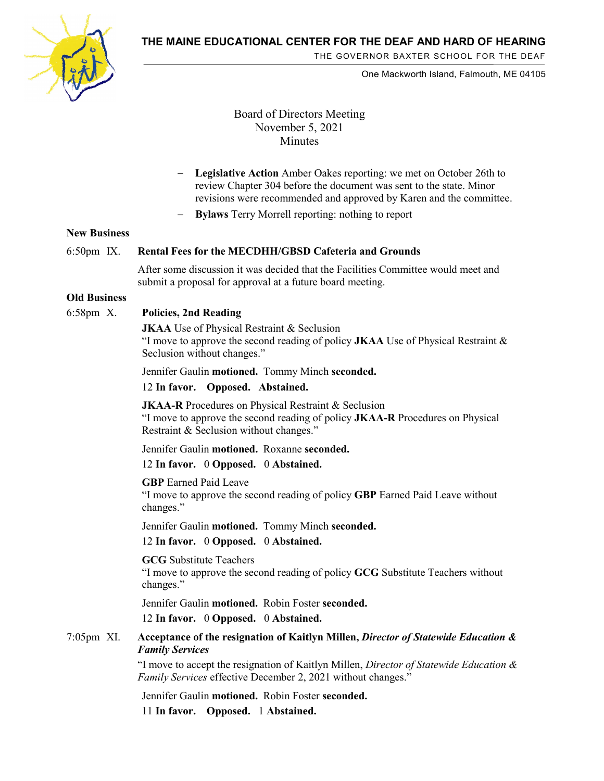

**THE MAINE EDUCATIONAL CENTER FOR THE DEAF AND HARD OF HEARING**

THE GOVERNOR BAXTER SCHOOL FOR THE DEAF

One Mackworth Island, Falmouth, ME 04105

Board of Directors Meeting November 5, 2021 **Minutes** 

- − **Legislative Action** Amber Oakes reporting: we met on October 26th to review Chapter 304 before the document was sent to the state. Minor revisions were recommended and approved by Karen and the committee.
- **Bylaws** Terry Morrell reporting: nothing to report

## **New Business**

## 6:50pm IX. **Rental Fees for the MECDHH/GBSD Cafeteria and Grounds**

After some discussion it was decided that the Facilities Committee would meet and submit a proposal for approval at a future board meeting.

#### **Old Business**

#### 6:58pm X. **Policies, 2nd Reading**

**JKAA** Use of Physical Restraint & Seclusion "I move to approve the second reading of policy **JKAA** Use of Physical Restraint & Seclusion without changes."

Jennifer Gaulin **motioned.** Tommy Minch **seconded.**

12 **In favor. Opposed. Abstained.** 

**JKAA-R** Procedures on Physical Restraint & Seclusion "I move to approve the second reading of policy **JKAA-R** Procedures on Physical Restraint & Seclusion without changes."

Jennifer Gaulin **motioned.** Roxanne **seconded.**

12 **In favor.** 0 **Opposed.** 0 **Abstained.**

**GBP** Earned Paid Leave "I move to approve the second reading of policy **GBP** Earned Paid Leave without changes."

Jennifer Gaulin **motioned.** Tommy Minch **seconded.**

12 **In favor.** 0 **Opposed.** 0 **Abstained.**

**GCG** Substitute Teachers

"I move to approve the second reading of policy **GCG** Substitute Teachers without changes."

Jennifer Gaulin **motioned.** Robin Foster **seconded.**

12 **In favor.** 0 **Opposed.** 0 **Abstained.**

7:05pm XI. **Acceptance of the resignation of Kaitlyn Millen,** *Director of Statewide Education & Family Services*

> "I move to accept the resignation of Kaitlyn Millen, *Director of Statewide Education & Family Services* effective December 2, 2021 without changes."

Jennifer Gaulin **motioned.** Robin Foster **seconded.**

11 **In favor. Opposed.** 1 **Abstained.**